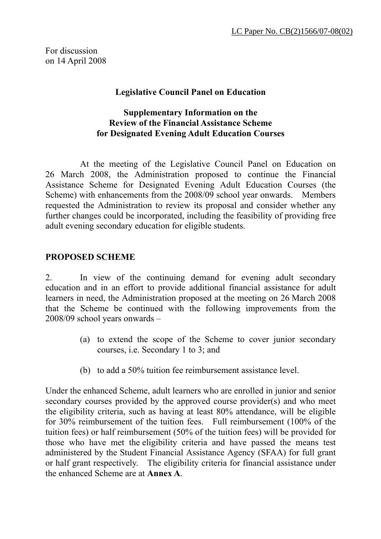For discussion on 14 April 2008

## **Legislative Council Panel on Education**

## **Supplementary Information on the Review of the Financial Assistance Scheme for Designated Evening Adult Education Courses**

At the meeting of the Legislative Council Panel on Education on 26 March 2008, the Administration proposed to continue the Financial Assistance Scheme for Designated Evening Adult Education Courses (the Scheme) with enhancements from the 2008/09 school year onwards. Members requested the Administration to review its proposal and consider whether any further changes could be incorporated, including the feasibility of providing free adult evening secondary education for eligible students.

## **PROPOSED SCHEME**

2. In view of the continuing demand for evening adult secondary education and in an effort to provide additional financial assistance for adult learners in need, the Administration proposed at the meeting on 26 March 2008 that the Scheme be continued with the following improvements from the 2008/09 school years onwards –

- (a) to extend the scope of the Scheme to cover junior secondary courses, i.e. Secondary 1 to 3; and
- (b) to add a 50% tuition fee reimbursement assistance level.

Under the enhanced Scheme, adult learners who are enrolled in junior and senior secondary courses provided by the approved course provider(s) and who meet the eligibility criteria, such as having at least 80% attendance, will be eligible for 30% reimbursement of the tuition fees. Full reimbursement (100% of the tuition fees) or half reimbursement (50% of the tuition fees) will be provided for those who have met the eligibility criteria and have passed the means test administered by the Student Financial Assistance Agency (SFAA) for full grant or half grant respectively. The eligibility criteria for financial assistance under the enhanced Scheme are at **Annex A**.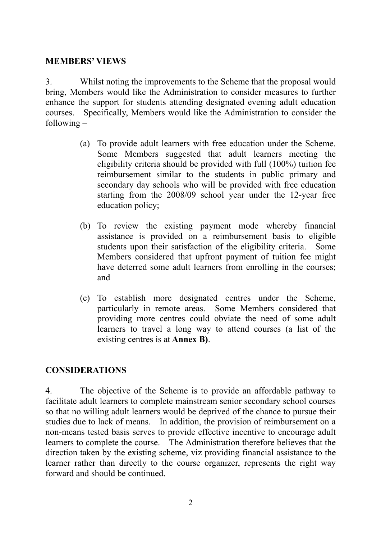### **MEMBERS' VIEWS**

3. Whilst noting the improvements to the Scheme that the proposal would bring, Members would like the Administration to consider measures to further enhance the support for students attending designated evening adult education courses. Specifically, Members would like the Administration to consider the following –

- (a) To provide adult learners with free education under the Scheme. Some Members suggested that adult learners meeting the eligibility criteria should be provided with full (100%) tuition fee reimbursement similar to the students in public primary and secondary day schools who will be provided with free education starting from the 2008/09 school year under the 12-year free education policy;
- (b) To review the existing payment mode whereby financial assistance is provided on a reimbursement basis to eligible students upon their satisfaction of the eligibility criteria. Some Members considered that upfront payment of tuition fee might have deterred some adult learners from enrolling in the courses; and
- (c) To establish more designated centres under the Scheme, particularly in remote areas. Some Members considered that providing more centres could obviate the need of some adult learners to travel a long way to attend courses (a list of the existing centres is at **Annex B)**.

## **CONSIDERATIONS**

4. The objective of the Scheme is to provide an affordable pathway to facilitate adult learners to complete mainstream senior secondary school courses so that no willing adult learners would be deprived of the chance to pursue their studies due to lack of means. In addition, the provision of reimbursement on a non-means tested basis serves to provide effective incentive to encourage adult learners to complete the course. The Administration therefore believes that the direction taken by the existing scheme, viz providing financial assistance to the learner rather than directly to the course organizer, represents the right way forward and should be continued.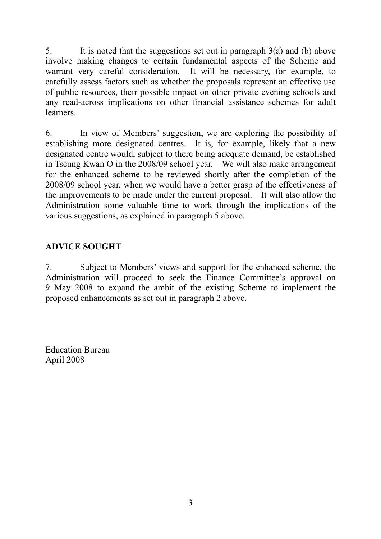5. It is noted that the suggestions set out in paragraph 3(a) and (b) above involve making changes to certain fundamental aspects of the Scheme and warrant very careful consideration. It will be necessary, for example, to carefully assess factors such as whether the proposals represent an effective use of public resources, their possible impact on other private evening schools and any read-across implications on other financial assistance schemes for adult learners.

6. In view of Members' suggestion, we are exploring the possibility of establishing more designated centres. It is, for example, likely that a new designated centre would, subject to there being adequate demand, be established in Tseung Kwan O in the 2008/09 school year. We will also make arrangement for the enhanced scheme to be reviewed shortly after the completion of the 2008/09 school year, when we would have a better grasp of the effectiveness of the improvements to be made under the current proposal. It will also allow the Administration some valuable time to work through the implications of the various suggestions, as explained in paragraph 5 above.

# **ADVICE SOUGHT**

7. Subject to Members' views and support for the enhanced scheme, the Administration will proceed to seek the Finance Committee's approval on 9 May 2008 to expand the ambit of the existing Scheme to implement the proposed enhancements as set out in paragraph 2 above.

Education Bureau April 2008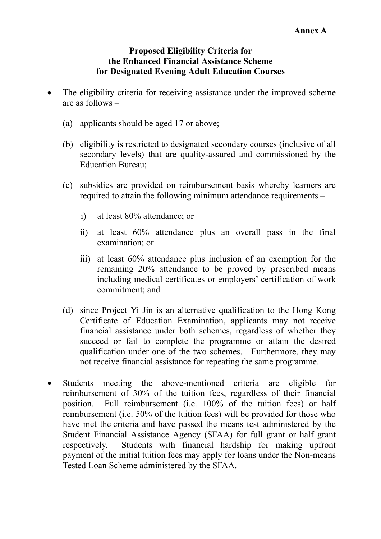### **Proposed Eligibility Criteria for the Enhanced Financial Assistance Scheme for Designated Evening Adult Education Courses**

- The eligibility criteria for receiving assistance under the improved scheme are as follows –
	- (a) applicants should be aged 17 or above;
	- (b) eligibility is restricted to designated secondary courses (inclusive of all secondary levels) that are quality-assured and commissioned by the Education Bureau;
	- (c) subsidies are provided on reimbursement basis whereby learners are required to attain the following minimum attendance requirements –
		- i) at least 80% attendance; or
		- ii) at least 60% attendance plus an overall pass in the final examination; or
		- iii) at least 60% attendance plus inclusion of an exemption for the remaining 20% attendance to be proved by prescribed means including medical certificates or employers' certification of work commitment; and
	- (d) since Project Yi Jin is an alternative qualification to the Hong Kong Certificate of Education Examination, applicants may not receive financial assistance under both schemes, regardless of whether they succeed or fail to complete the programme or attain the desired qualification under one of the two schemes. Furthermore, they may not receive financial assistance for repeating the same programme.
- Students meeting the above-mentioned criteria are eligible for reimbursement of 30% of the tuition fees, regardless of their financial position. Full reimbursement (i.e. 100% of the tuition fees) or half reimbursement (i.e. 50% of the tuition fees) will be provided for those who have met the criteria and have passed the means test administered by the Student Financial Assistance Agency (SFAA) for full grant or half grant respectively. Students with financial hardship for making upfront payment of the initial tuition fees may apply for loans under the Non-means Tested Loan Scheme administered by the SFAA.